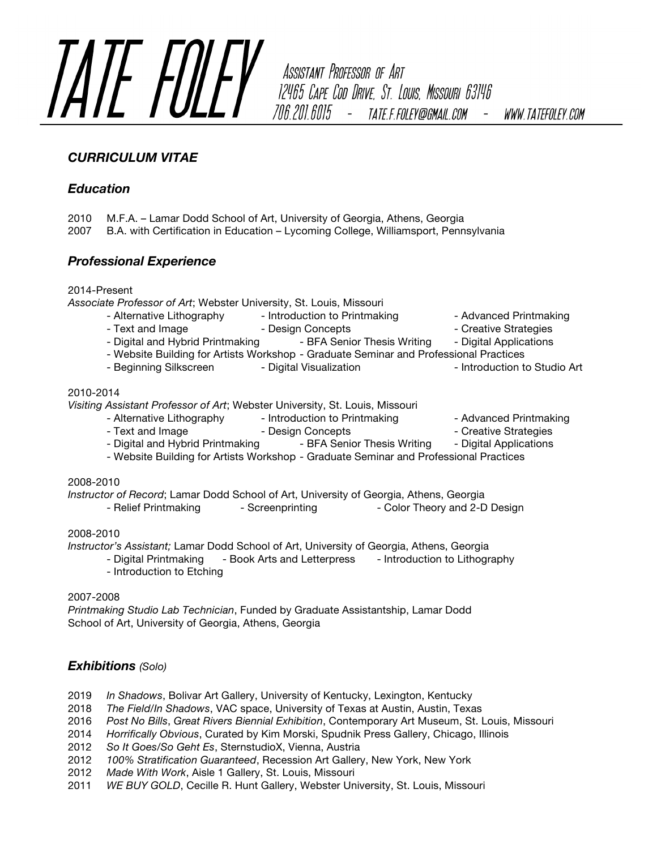

706.201.6015 - TATE.F.FOLEY@GMAIL.COM *WWW.TATEFOLEY.COM* 

# *CURRICULUM VITAE*

## *Education*

- 2010 M.F.A. Lamar Dodd School of Art, University of Georgia, Athens, Georgia
- 2007 B.A. with Certification in Education Lycoming College, Williamsport, Pennsylvania

## *Professional Experience*

2014-Present

*Associate Professor of Art*; Webster University, St. Louis, Missouri

- Alternative Lithography Introduction to Printmaking Advanced Printmaking
- Text and Image Text and Image  $\sim$  Design Concepts Text Creative Strategies
- 
- Digital and Hybrid Printmaking BFA Senior Thesis Writing Digital Applications
- Website Building for Artists Workshop Graduate Seminar and Professional Practices
- Beginning Silkscreen Digital Visualization Introduction to Studio Art

### 2010-2014

*Visiting Assistant Professor of Art*; Webster University, St. Louis, Missouri

- Alternative Lithography Introduction to Printmaking Advanced Printmaking
- Text and Image Text and Image All the Design Concepts  **Creative Strategies** Creative Strategies
- 
- Digital and Hybrid Printmaking BFA Senior Thesis Writing Digital Applications
- Website Building for Artists Workshop Graduate Seminar and Professional Practices

### 2008-2010

- *Instructor of Record*; Lamar Dodd School of Art, University of Georgia, Athens, Georgia
	- Relief Printmaking Screenprinting Color Theory and 2-D Design

### 2008-2010

*Instructor's Assistant;* Lamar Dodd School of Art, University of Georgia, Athens, Georgia

- Digital Printmaking Book Arts and Letterpress Introduction to Lithography
- Introduction to Etching

### 2007-2008

*Printmaking Studio Lab Technician*, Funded by Graduate Assistantship, Lamar Dodd School of Art, University of Georgia, Athens, Georgia

# *Exhibitions (Solo)*

- 2019 *In Shadows*, Bolivar Art Gallery, University of Kentucky, Lexington, Kentucky
- 2018 *The Field/In Shadows*, VAC space, University of Texas at Austin, Austin, Texas
- 2016 *Post No Bills*, *Great Rivers Biennial Exhibition*, Contemporary Art Museum, St. Louis, Missouri
- 2014 *Horrifically Obvious*, Curated by Kim Morski, Spudnik Press Gallery, Chicago, Illinois
- 2012 *So It Goes/So Geht Es*, SternstudioX, Vienna, Austria
- 2012 *100% Stratification Guaranteed*, Recession Art Gallery, New York, New York
- 2012 *Made With Work*, Aisle 1 Gallery, St. Louis, Missouri
- 2011 *WE BUY GOLD*, Cecille R. Hunt Gallery, Webster University, St. Louis, Missouri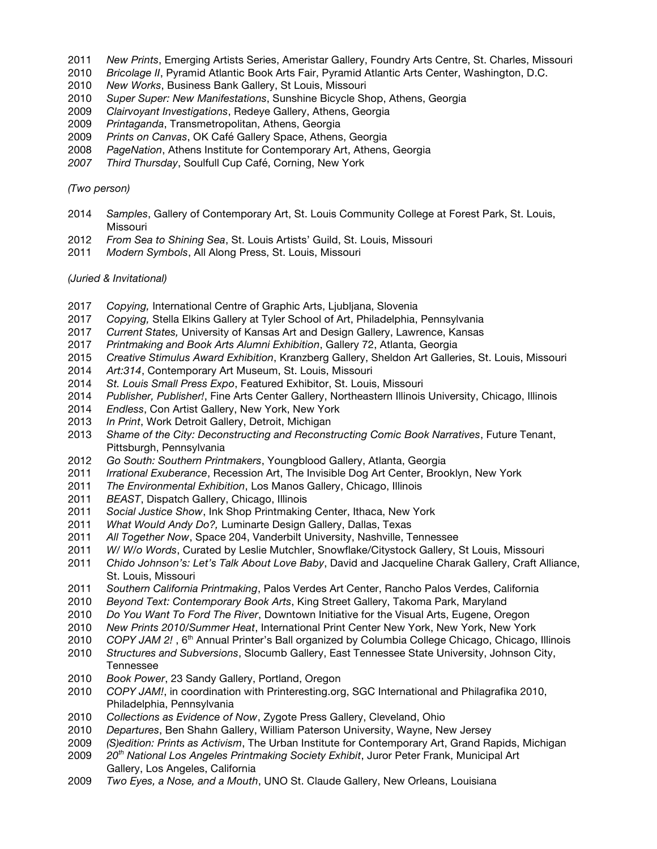- *New Prints*, Emerging Artists Series, Ameristar Gallery, Foundry Arts Centre, St. Charles, Missouri
- *Bricolage II*, Pyramid Atlantic Book Arts Fair, Pyramid Atlantic Arts Center, Washington, D.C.
- *New Works*, Business Bank Gallery, St Louis, Missouri
- *Super Super: New Manifestations*, Sunshine Bicycle Shop, Athens, Georgia
- *Clairvoyant Investigations*, Redeye Gallery, Athens, Georgia
- *Printaganda*, Transmetropolitan, Athens, Georgia
- *Prints on Canvas*, OK Café Gallery Space, Athens, Georgia
- *PageNation*, Athens Institute for Contemporary Art, Athens, Georgia
- *Third Thursday*, Soulfull Cup Café, Corning, New York

#### *(Two person)*

- *Samples*, Gallery of Contemporary Art, St. Louis Community College at Forest Park, St. Louis, Missouri
- *From Sea to Shining Sea*, St. Louis Artists' Guild, St. Louis, Missouri
- *Modern Symbols*, All Along Press, St. Louis, Missouri

#### *(Juried & Invitational)*

- *Copying,* International Centre of Graphic Arts, Ljubljana, Slovenia
- *Copying,* Stella Elkins Gallery at Tyler School of Art, Philadelphia, Pennsylvania
- *Current States,* University of Kansas Art and Design Gallery, Lawrence, Kansas
- *Printmaking and Book Arts Alumni Exhibition*, Gallery 72, Atlanta, Georgia
- *Creative Stimulus Award Exhibition*, Kranzberg Gallery, Sheldon Art Galleries, St. Louis, Missouri
- *Art:314*, Contemporary Art Museum, St. Louis, Missouri
- *St. Louis Small Press Expo*, Featured Exhibitor, St. Louis, Missouri
- *Publisher, Publisher!*, Fine Arts Center Gallery, Northeastern Illinois University, Chicago, Illinois
- *Endless*, Con Artist Gallery, New York, New York
- *In Print*, Work Detroit Gallery, Detroit, Michigan
- *Shame of the City: Deconstructing and Reconstructing Comic Book Narratives*, Future Tenant, Pittsburgh, Pennsylvania
- *Go South: Southern Printmakers*, Youngblood Gallery, Atlanta, Georgia
- *Irrational Exuberance*, Recession Art, The Invisible Dog Art Center, Brooklyn, New York
- *The Environmental Exhibition*, Los Manos Gallery, Chicago, Illinois
- *BEAST*, Dispatch Gallery, Chicago, Illinois
- *Social Justice Show*, Ink Shop Printmaking Center, Ithaca, New York
- *What Would Andy Do?,* Luminarte Design Gallery, Dallas, Texas
- *All Together Now*, Space 204, Vanderbilt University, Nashville, Tennessee
- *W/ W/o Words*, Curated by Leslie Mutchler, Snowflake/Citystock Gallery, St Louis, Missouri
- *Chido Johnson's: Let's Talk About Love Baby*, David and Jacqueline Charak Gallery, Craft Alliance, St. Louis, Missouri
- *Southern California Printmaking*, Palos Verdes Art Center, Rancho Palos Verdes, California
- *Beyond Text: Contemporary Book Arts*, King Street Gallery, Takoma Park, Maryland
- *Do You Want To Ford The River*, Downtown Initiative for the Visual Arts, Eugene, Oregon
- *New Prints 2010/Summer Heat*, International Print Center New York, New York, New York
- 2010 *COPY JAM 2!*, 6<sup>th</sup> Annual Printer's Ball organized by Columbia College Chicago, Chicago, Illinois
- *Structures and Subversions*, Slocumb Gallery, East Tennessee State University, Johnson City, Tennessee
- *Book Power*, 23 Sandy Gallery, Portland, Oregon
- *COPY JAM!*, in coordination with Printeresting.org, SGC International and Philagrafika 2010, Philadelphia, Pennsylvania
- *Collections as Evidence of Now*, Zygote Press Gallery, Cleveland, Ohio
- *Departures*, Ben Shahn Gallery, William Paterson University, Wayne, New Jersey
- *(S)edition: Prints as Activism*, The Urban Institute for Contemporary Art, Grand Rapids, Michigan
- *20th National Los Angeles Printmaking Society Exhibit*, Juror Peter Frank, Municipal Art Gallery, Los Angeles, California
- *Two Eyes, a Nose, and a Mouth*, UNO St. Claude Gallery, New Orleans, Louisiana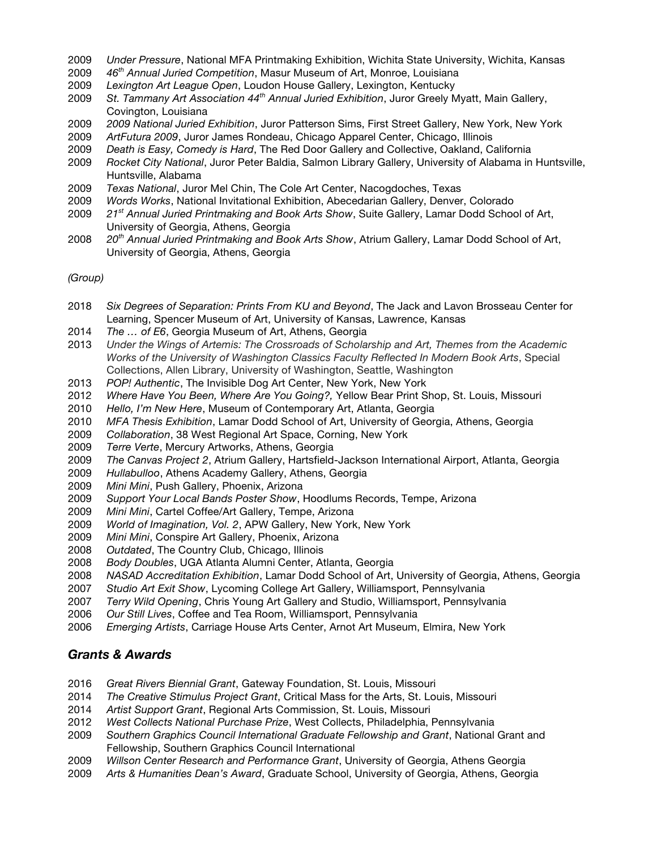- *Under Pressure*, National MFA Printmaking Exhibition, Wichita State University, Wichita, Kansas
- *46th Annual Juried Competition*, Masur Museum of Art, Monroe, Louisiana
- *Lexington Art League Open*, Loudon House Gallery, Lexington, Kentucky
- *St. Tammany Art Association 44th Annual Juried Exhibition*, Juror Greely Myatt, Main Gallery, Covington, Louisiana
- *2009 National Juried Exhibition*, Juror Patterson Sims, First Street Gallery, New York, New York
- *ArtFutura 2009*, Juror James Rondeau, Chicago Apparel Center, Chicago, Illinois
- *Death is Easy, Comedy is Hard*, The Red Door Gallery and Collective, Oakland, California
- *Rocket City National*, Juror Peter Baldia, Salmon Library Gallery, University of Alabama in Huntsville, Huntsville, Alabama
- *Texas National*, Juror Mel Chin, The Cole Art Center, Nacogdoches, Texas
- *Words Works*, National Invitational Exhibition, Abecedarian Gallery, Denver, Colorado
- *21st Annual Juried Printmaking and Book Arts Show*, Suite Gallery, Lamar Dodd School of Art, University of Georgia, Athens, Georgia
- *20th Annual Juried Printmaking and Book Arts Show*, Atrium Gallery, Lamar Dodd School of Art, University of Georgia, Athens, Georgia

*(Group)*

- *Six Degrees of Separation: Prints From KU and Beyond*, The Jack and Lavon Brosseau Center for Learning, Spencer Museum of Art, University of Kansas, Lawrence, Kansas
- *The … of E6*, Georgia Museum of Art, Athens, Georgia
- *Under the Wings of Artemis: The Crossroads of Scholarship and Art, Themes from the Academic Works of the University of Washington Classics Faculty Reflected In Modern Book Arts*, Special Collections, Allen Library, University of Washington, Seattle, Washington
- *POP! Authentic*, The Invisible Dog Art Center, New York, New York
- *Where Have You Been, Where Are You Going?,* Yellow Bear Print Shop, St. Louis, Missouri
- *Hello, I'm New Here*, Museum of Contemporary Art, Atlanta, Georgia
- *MFA Thesis Exhibition*, Lamar Dodd School of Art, University of Georgia, Athens, Georgia
- *Collaboration*, 38 West Regional Art Space, Corning, New York
- *Terre Verte*, Mercury Artworks, Athens, Georgia
- *The Canvas Project 2*, Atrium Gallery, Hartsfield-Jackson International Airport, Atlanta, Georgia
- *Hullabulloo*, Athens Academy Gallery, Athens, Georgia
- *Mini Mini*, Push Gallery, Phoenix, Arizona
- *Support Your Local Bands Poster Show*, Hoodlums Records, Tempe, Arizona
- *Mini Mini*, Cartel Coffee/Art Gallery, Tempe, Arizona
- *World of Imagination, Vol. 2*, APW Gallery, New York, New York
- *Mini Mini*, Conspire Art Gallery, Phoenix, Arizona
- *Outdated*, The Country Club, Chicago, Illinois
- *Body Doubles*, UGA Atlanta Alumni Center, Atlanta, Georgia
- *NASAD Accreditation Exhibition*, Lamar Dodd School of Art, University of Georgia, Athens, Georgia
- *Studio Art Exit Show*, Lycoming College Art Gallery, Williamsport, Pennsylvania
- *Terry Wild Opening*, Chris Young Art Gallery and Studio, Williamsport, Pennsylvania
- *Our Still Lives*, Coffee and Tea Room, Williamsport, Pennsylvania
- *Emerging Artists*, Carriage House Arts Center, Arnot Art Museum, Elmira, New York

### *Grants & Awards*

- *Great Rivers Biennial Grant*, Gateway Foundation, St. Louis, Missouri
- *The Creative Stimulus Project Grant*, Critical Mass for the Arts, St. Louis, Missouri
- *Artist Support Grant*, Regional Arts Commission, St. Louis, Missouri
- *West Collects National Purchase Prize*, West Collects, Philadelphia, Pennsylvania
- *Southern Graphics Council International Graduate Fellowship and Grant*, National Grant and Fellowship, Southern Graphics Council International
- *Willson Center Research and Performance Grant*, University of Georgia, Athens Georgia
- *Arts & Humanities Dean's Award*, Graduate School, University of Georgia, Athens, Georgia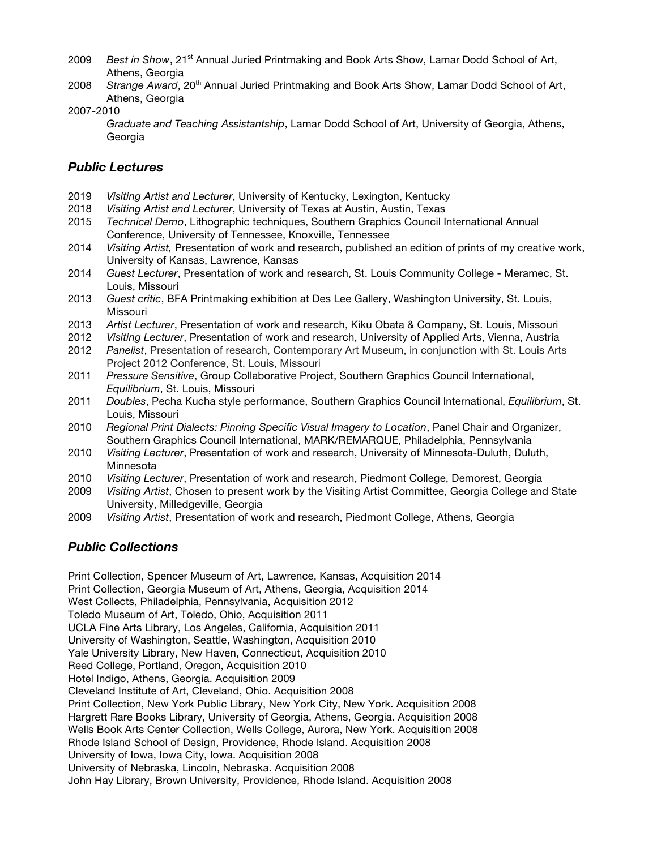- 2009 *Best in Show*, 21st Annual Juried Printmaking and Book Arts Show, Lamar Dodd School of Art, Athens, Georgia
- 2008 *Strange Award*, 20th Annual Juried Printmaking and Book Arts Show, Lamar Dodd School of Art, Athens, Georgia
- 2007-2010

*Graduate and Teaching Assistantship*, Lamar Dodd School of Art, University of Georgia, Athens, Georgia

## *Public Lectures*

- 2019 *Visiting Artist and Lecturer*, University of Kentucky, Lexington, Kentucky
- 2018 *Visiting Artist and Lecturer*, University of Texas at Austin, Austin, Texas
- 2015 *Technical Demo*, Lithographic techniques, Southern Graphics Council International Annual Conference, University of Tennessee, Knoxville, Tennessee
- 2014 *Visiting Artist,* Presentation of work and research, published an edition of prints of my creative work, University of Kansas, Lawrence, Kansas
- 2014 *Guest Lecturer*, Presentation of work and research, St. Louis Community College Meramec, St. Louis, Missouri
- 2013 *Guest critic*, BFA Printmaking exhibition at Des Lee Gallery, Washington University, St. Louis, Missouri
- 2013 *Artist Lecturer*, Presentation of work and research, Kiku Obata & Company, St. Louis, Missouri
- 2012 *Visiting Lecturer*, Presentation of work and research, University of Applied Arts, Vienna, Austria
- 2012 *Panelist*, Presentation of research, Contemporary Art Museum, in conjunction with St. Louis Arts Project 2012 Conference, St. Louis, Missouri
- 2011 *Pressure Sensitive*, Group Collaborative Project, Southern Graphics Council International, *Equilibrium*, St. Louis, Missouri
- 2011 *Doubles*, Pecha Kucha style performance, Southern Graphics Council International, *Equilibrium*, St. Louis, Missouri
- 2010 *Regional Print Dialects: Pinning Specific Visual Imagery to Location*, Panel Chair and Organizer, Southern Graphics Council International, MARK/REMARQUE, Philadelphia, Pennsylvania
- 2010 *Visiting Lecturer*, Presentation of work and research, University of Minnesota-Duluth, Duluth, Minnesota
- 2010 *Visiting Lecturer*, Presentation of work and research, Piedmont College, Demorest, Georgia
- 2009 *Visiting Artist*, Chosen to present work by the Visiting Artist Committee, Georgia College and State University, Milledgeville, Georgia
- 2009 *Visiting Artist*, Presentation of work and research, Piedmont College, Athens, Georgia

## *Public Collections*

Print Collection, Spencer Museum of Art, Lawrence, Kansas, Acquisition 2014 Print Collection, Georgia Museum of Art, Athens, Georgia, Acquisition 2014 West Collects, Philadelphia, Pennsylvania, Acquisition 2012 Toledo Museum of Art, Toledo, Ohio, Acquisition 2011 UCLA Fine Arts Library, Los Angeles, California, Acquisition 2011 University of Washington, Seattle, Washington, Acquisition 2010 Yale University Library, New Haven, Connecticut, Acquisition 2010 Reed College, Portland, Oregon, Acquisition 2010 Hotel Indigo, Athens, Georgia. Acquisition 2009 Cleveland Institute of Art, Cleveland, Ohio. Acquisition 2008 Print Collection, New York Public Library, New York City, New York. Acquisition 2008 Hargrett Rare Books Library, University of Georgia, Athens, Georgia. Acquisition 2008 Wells Book Arts Center Collection, Wells College, Aurora, New York. Acquisition 2008 Rhode Island School of Design, Providence, Rhode Island. Acquisition 2008 University of Iowa, Iowa City, Iowa. Acquisition 2008 University of Nebraska, Lincoln, Nebraska. Acquisition 2008 John Hay Library, Brown University, Providence, Rhode Island. Acquisition 2008